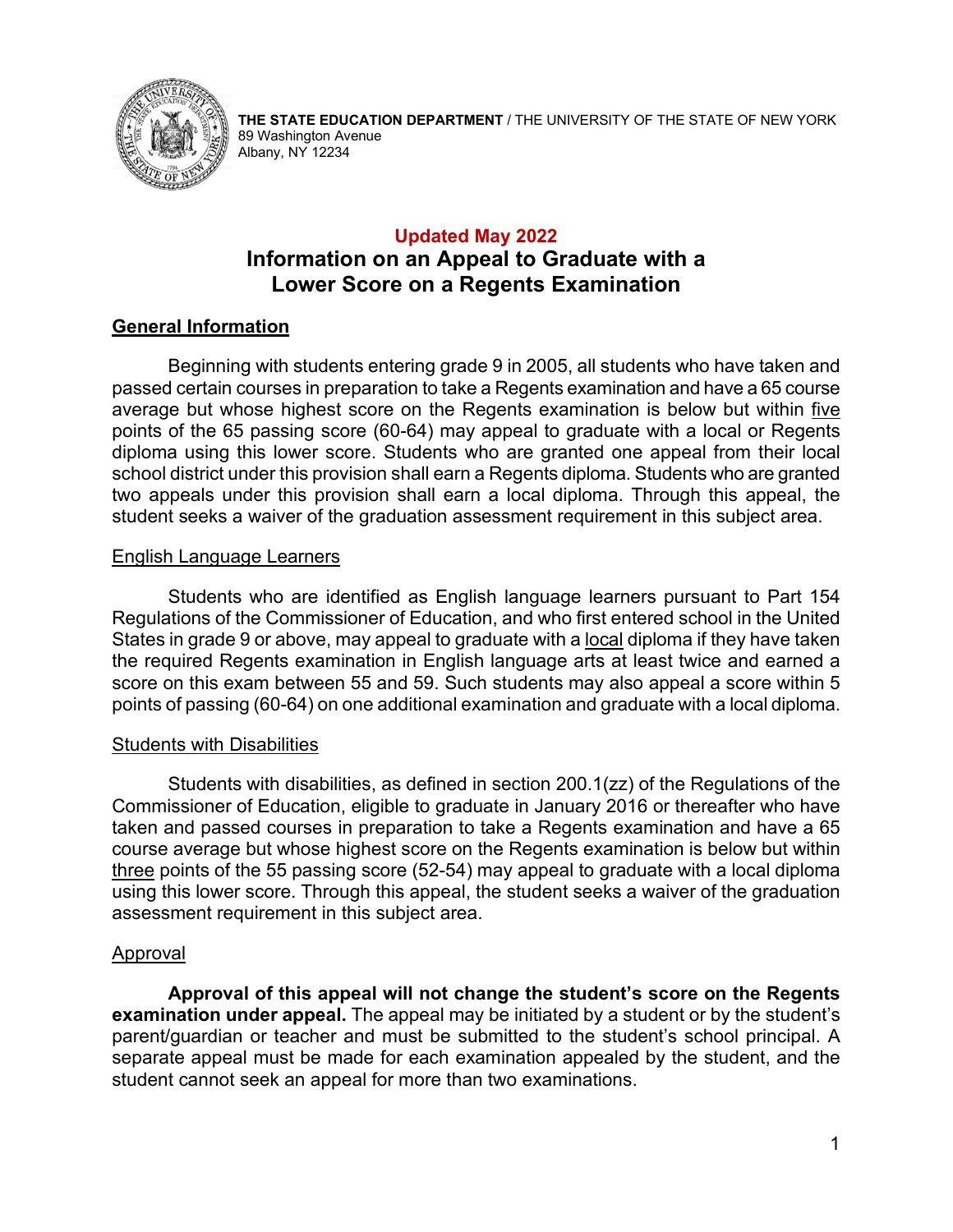

**THE STATE EDUCATION DEPARTMENT** / THE UNIVERSITY OF THE STATE OF NEW YORK 89 Washington Avenue Albany, NY 12234

## **Updated May 2022 Information on an Appeal to Graduate with a Lower Score on a Regents Examination**

## **General Information**

Beginning with students entering grade 9 in 2005, all students who have taken and passed certain courses in preparation to take a Regents examination and have a 65 course average but whose highest score on the Regents examination is below but within five points of the 65 passing score (60-64) may appeal to graduate with a local or Regents diploma using this lower score. Students who are granted one appeal from their local school district under this provision shall earn a Regents diploma. Students who are granted two appeals under this provision shall earn a local diploma. Through this appeal, the student seeks a waiver of the graduation assessment requirement in this subject area.

### English Language Learners

Students who are identified as English language learners pursuant to Part 154 Regulations of the Commissioner of Education, and who first entered school in the United States in grade 9 or above, may appeal to graduate with a local diploma if they have taken the required Regents examination in English language arts at least twice and earned a score on this exam between 55 and 59. Such students may also appeal a score within 5 points of passing (60-64) on one additional examination and graduate with a local diploma.

#### Students with Disabilities

Students with disabilities, as defined in section 200.1(zz) of the Regulations of the Commissioner of Education, eligible to graduate in January 2016 or thereafter who have taken and passed courses in preparation to take a Regents examination and have a 65 course average but whose highest score on the Regents examination is below but within three points of the 55 passing score (52-54) may appeal to graduate with a local diploma using this lower score. Through this appeal, the student seeks a waiver of the graduation assessment requirement in this subject area.

#### Approval

**Approval of this appeal will not change the student's score on the Regents examination under appeal.** The appeal may be initiated by a student or by the student's parent/guardian or teacher and must be submitted to the student's school principal. A separate appeal must be made for each examination appealed by the student, and the student cannot seek an appeal for more than two examinations.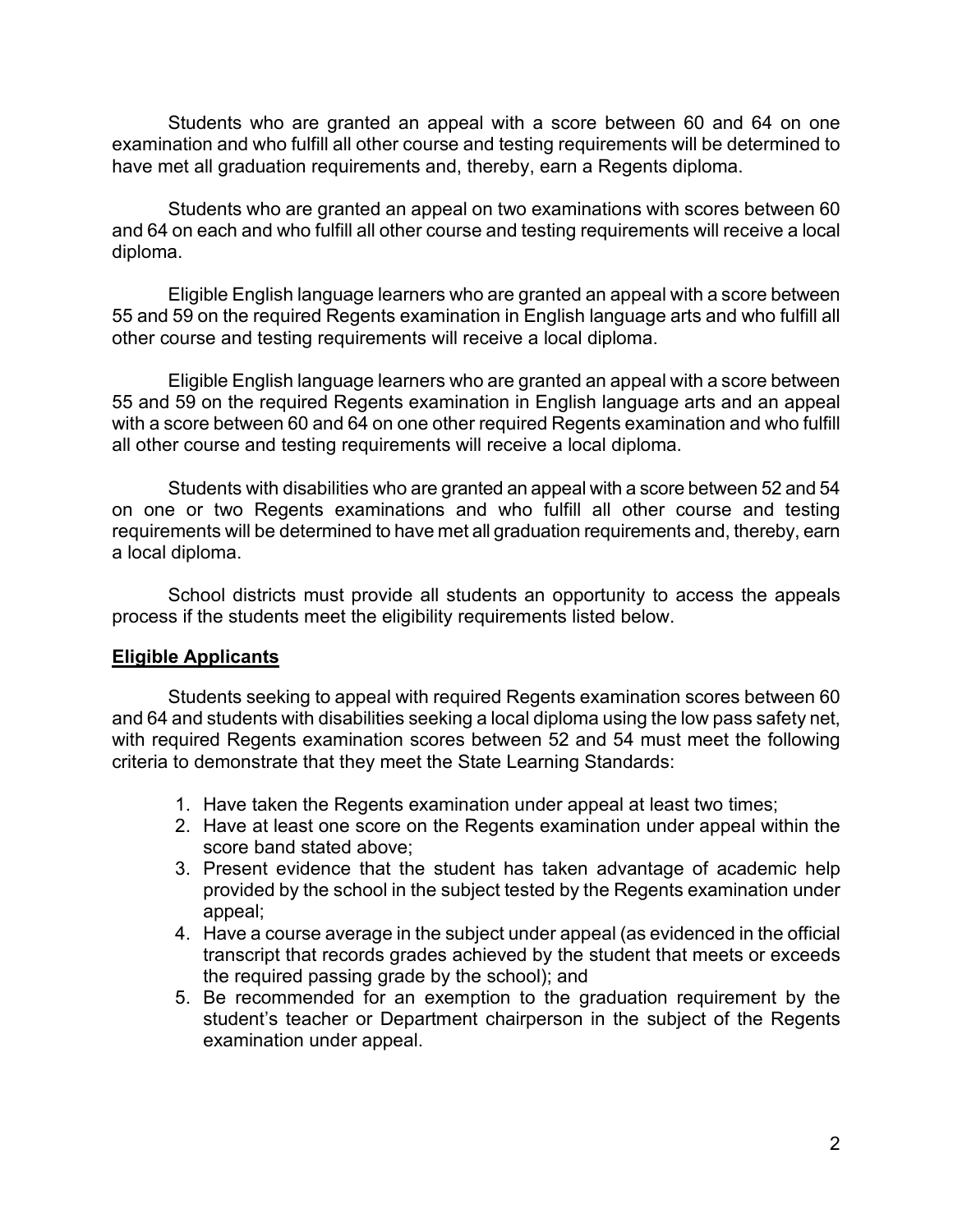Students who are granted an appeal with a score between 60 and 64 on one examination and who fulfill all other course and testing requirements will be determined to have met all graduation requirements and, thereby, earn a Regents diploma.

Students who are granted an appeal on two examinations with scores between 60 and 64 on each and who fulfill all other course and testing requirements will receive a local diploma.

Eligible English language learners who are granted an appeal with a score between 55 and 59 on the required Regents examination in English language arts and who fulfill all other course and testing requirements will receive a local diploma.

Eligible English language learners who are granted an appeal with a score between 55 and 59 on the required Regents examination in English language arts and an appeal with a score between 60 and 64 on one other required Regents examination and who fulfill all other course and testing requirements will receive a local diploma.

Students with disabilities who are granted an appeal with a score between 52 and 54 on one or two Regents examinations and who fulfill all other course and testing requirements will be determined to have met all graduation requirements and, thereby, earn a local diploma.

School districts must provide all students an opportunity to access the appeals process if the students meet the eligibility requirements listed below.

#### **Eligible Applicants**

Students seeking to appeal with required Regents examination scores between 60 and 64 and students with disabilities seeking a local diploma using the low pass safety net, with required Regents examination scores between 52 and 54 must meet the following criteria to demonstrate that they meet the State Learning Standards:

- 1. Have taken the Regents examination under appeal at least two times;
- 2. Have at least one score on the Regents examination under appeal within the score band stated above;
- 3. Present evidence that the student has taken advantage of academic help provided by the school in the subject tested by the Regents examination under appeal;
- 4. Have a course average in the subject under appeal (as evidenced in the official transcript that records grades achieved by the student that meets or exceeds the required passing grade by the school); and
- 5. Be recommended for an exemption to the graduation requirement by the student's teacher or Department chairperson in the subject of the Regents examination under appeal.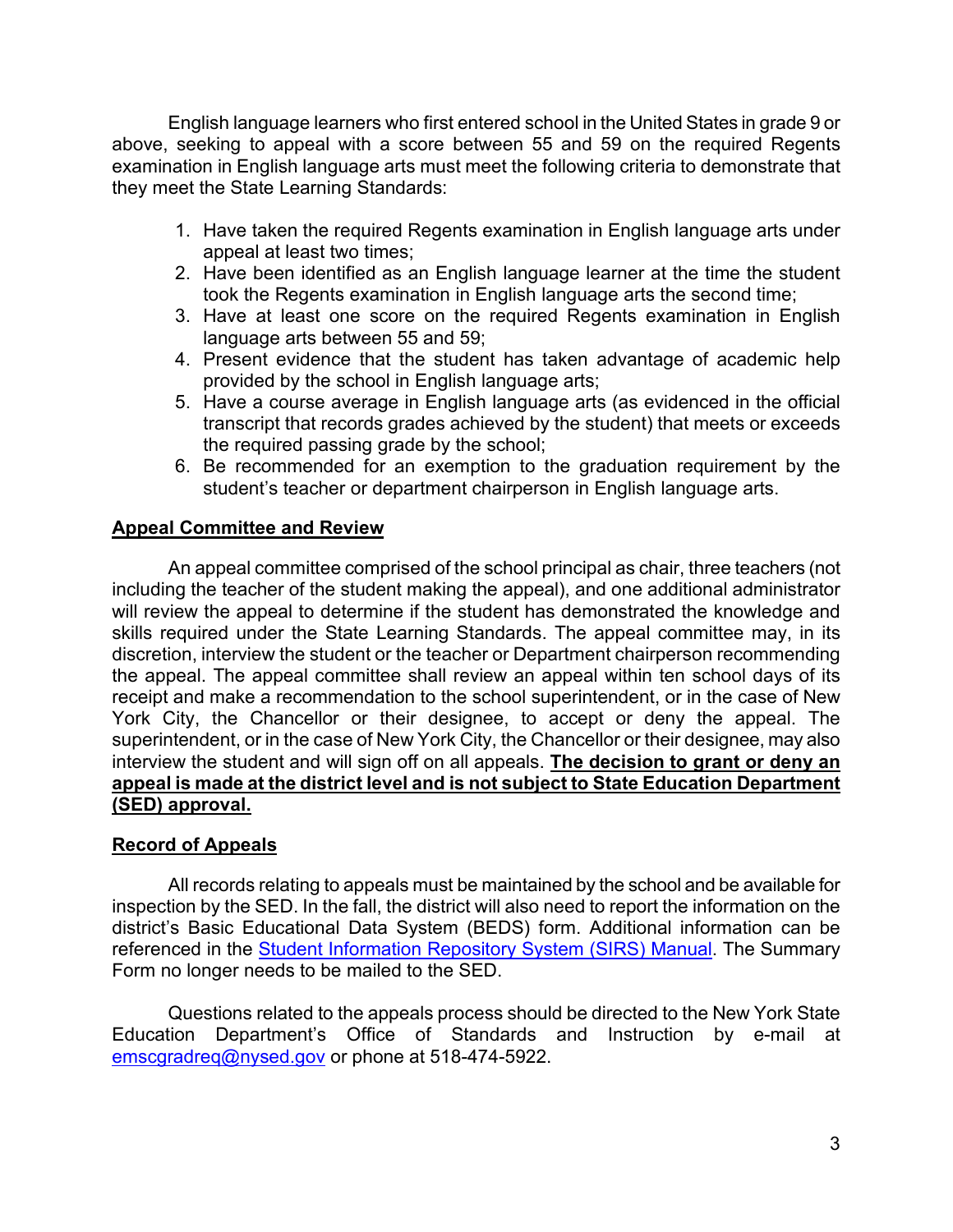English language learners who first entered school in the United States in grade 9 or above, seeking to appeal with a score between 55 and 59 on the required Regents examination in English language arts must meet the following criteria to demonstrate that they meet the State Learning Standards:

- 1. Have taken the required Regents examination in English language arts under appeal at least two times;
- 2. Have been identified as an English language learner at the time the student took the Regents examination in English language arts the second time;
- 3. Have at least one score on the required Regents examination in English language arts between 55 and 59;
- 4. Present evidence that the student has taken advantage of academic help provided by the school in English language arts;
- 5. Have a course average in English language arts (as evidenced in the official transcript that records grades achieved by the student) that meets or exceeds the required passing grade by the school;
- 6. Be recommended for an exemption to the graduation requirement by the student's teacher or department chairperson in English language arts.

## **Appeal Committee and Review**

An appeal committee comprised of the school principal as chair, three teachers (not including the teacher of the student making the appeal), and one additional administrator will review the appeal to determine if the student has demonstrated the knowledge and skills required under the State Learning Standards. The appeal committee may, in its discretion, interview the student or the teacher or Department chairperson recommending the appeal. The appeal committee shall review an appeal within ten school days of its receipt and make a recommendation to the school superintendent, or in the case of New York City, the Chancellor or their designee, to accept or deny the appeal. The superintendent, or in the case of New York City, the Chancellor or their designee, may also interview the student and will sign off on all appeals. **The decision to grant or deny an appeal is made at the district level and is not subject to State Education Department (SED) approval.**

### **Record of Appeals**

All records relating to appeals must be maintained by the school and be available for inspection by the SED. In the fall, the district will also need to report the information on the district's Basic Educational Data System (BEDS) form. Additional information can be referenced in the **Student Information Repository System (SIRS) Manual**. The Summary Form no longer needs to be mailed to the SED.

Questions related to the appeals process should be directed to the New York State Education Department's Office of Standards and Instruction by e-mail at [emscgradreq@nysed.gov](mailto:emscgradreq@nysed.gov) or phone at 518-474-5922.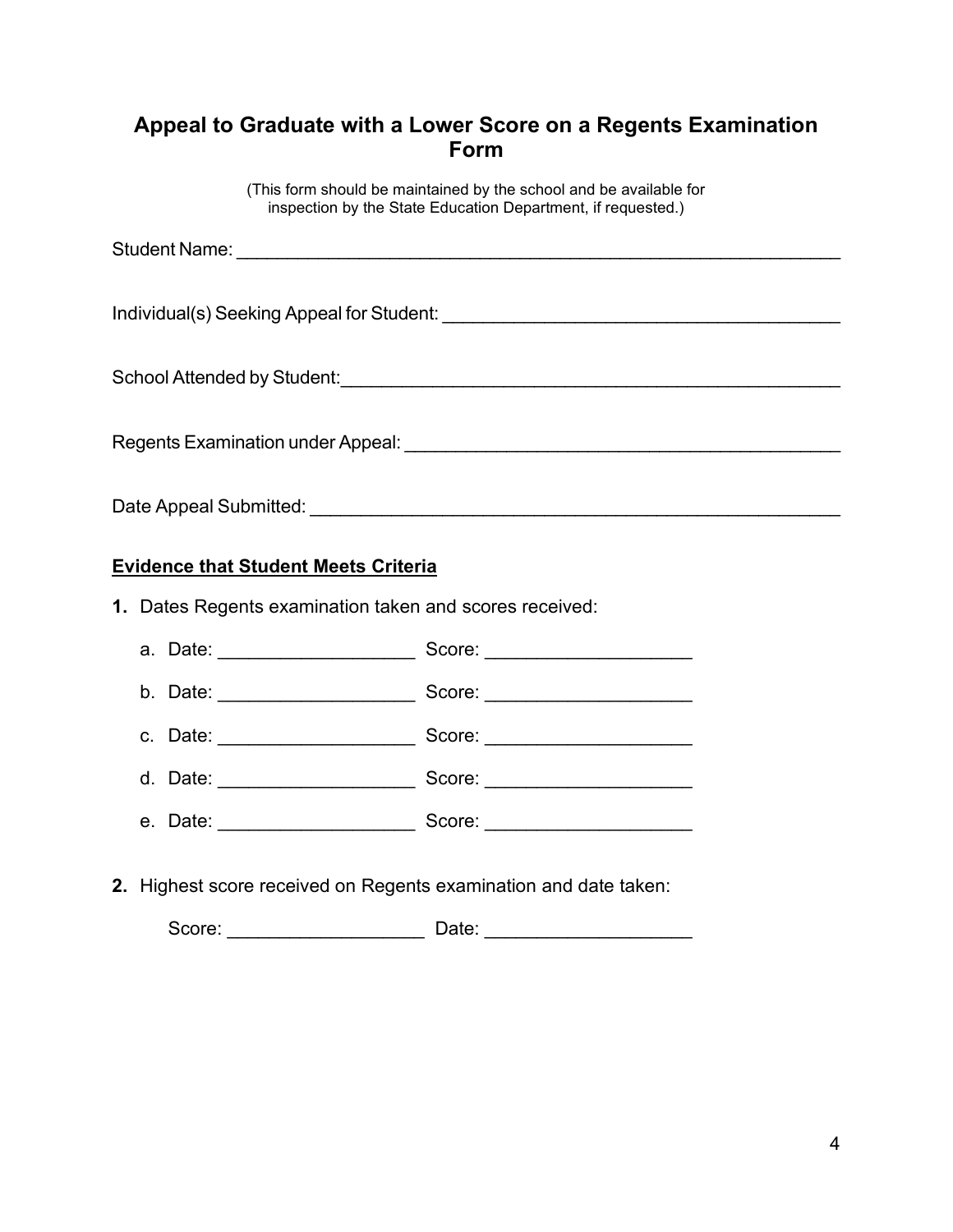# **Appeal to Graduate with a Lower Score on a Regents Examination Form**

(This form should be maintained by the school and be available for inspection by the State Education Department, if requested.)

| School Attended by Student:                                                                                   |
|---------------------------------------------------------------------------------------------------------------|
|                                                                                                               |
|                                                                                                               |
| Regents Examination under Appeal: Network and the Contract of the Contract of the Contract of the Contract of |
|                                                                                                               |
| Date Appeal Submitted:                                                                                        |

### **Evidence that Student Meets Criteria**

**1.** Dates Regents examination taken and scores received:



**2.** Highest score received on Regents examination and date taken:

Score: \_\_\_\_\_\_\_\_\_\_\_\_\_\_\_\_\_\_\_ Date: \_\_\_\_\_\_\_\_\_\_\_\_\_\_\_\_\_\_\_\_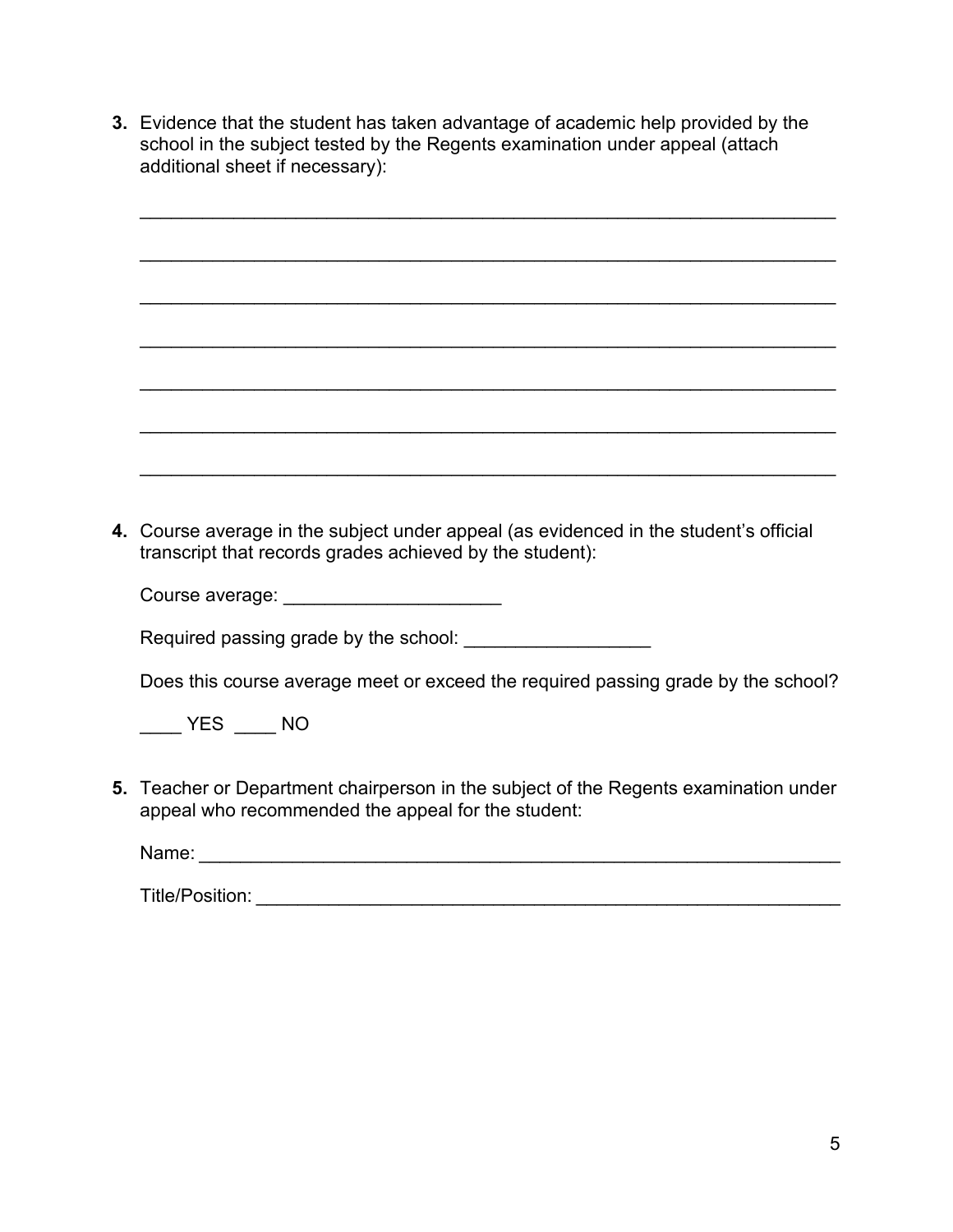**3.** Evidence that the student has taken advantage of academic help provided by the school in the subject tested by the Regents examination under appeal (attach additional sheet if necessary):

| 4. Course average in the subject under appeal (as evidenced in the student's official<br>transcript that records grades achieved by the student): |
|---------------------------------------------------------------------------------------------------------------------------------------------------|
|                                                                                                                                                   |
|                                                                                                                                                   |
| Does this course average meet or exceed the required passing grade by the school?                                                                 |
| $YES$ ______ NO                                                                                                                                   |
|                                                                                                                                                   |
| 5. Teacher or Department chairperson in the subject of the Regents examination under<br>appeal who recommended the appeal for the student:        |
|                                                                                                                                                   |
|                                                                                                                                                   |
|                                                                                                                                                   |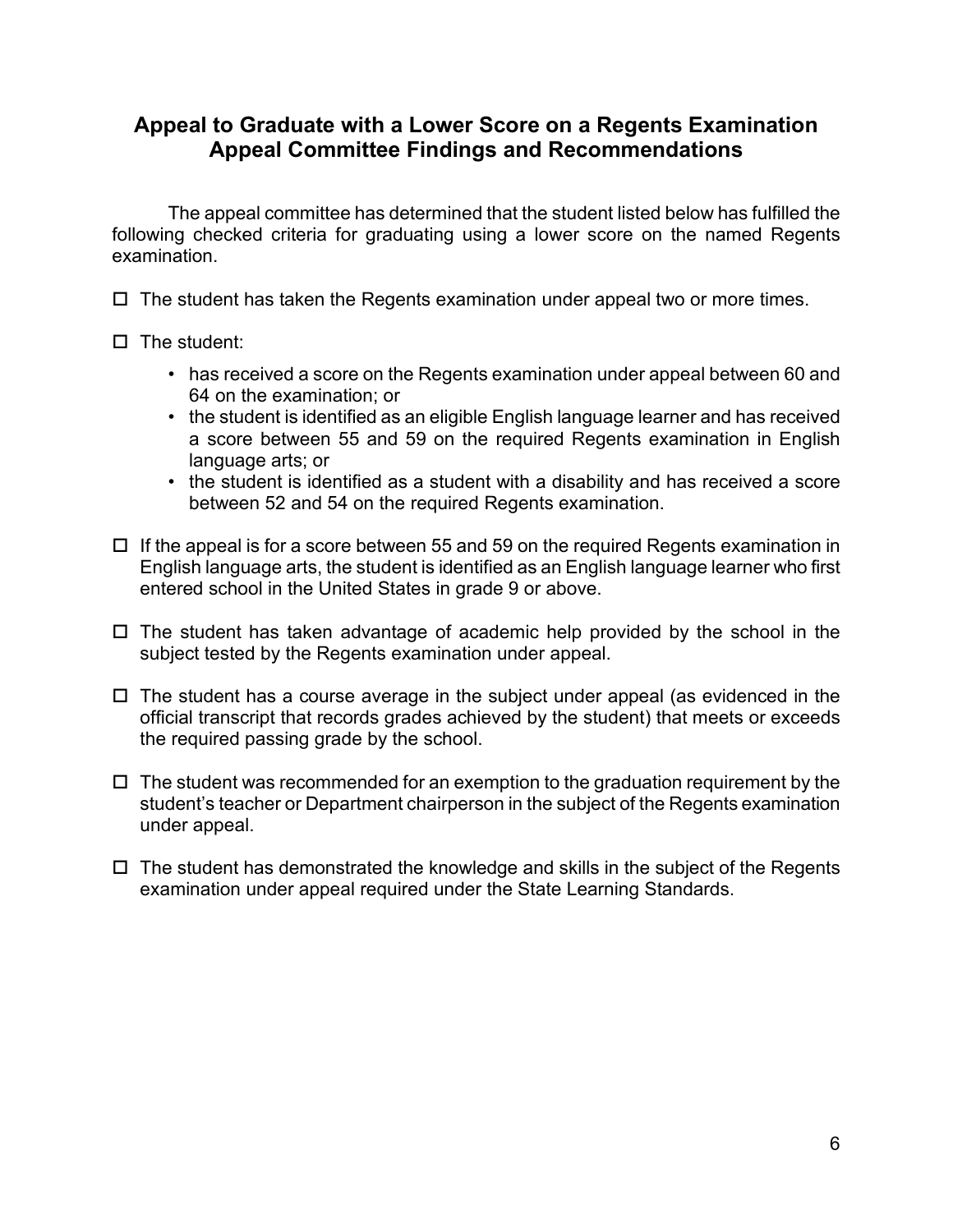## **Appeal to Graduate with a Lower Score on a Regents Examination Appeal Committee Findings and Recommendations**

The appeal committee has determined that the student listed below has fulfilled the following checked criteria for graduating using a lower score on the named Regents examination.

 $\Box$  The student has taken the Regents examination under appeal two or more times.

- $\Box$  The student:
	- has received a score on the Regents examination under appeal between 60 and 64 on the examination; or
	- the student is identified as an eligible English language learner and has received a score between 55 and 59 on the required Regents examination in English language arts; or
	- the student is identified as a student with a disability and has received a score between 52 and 54 on the required Regents examination.
- $\Box$  If the appeal is for a score between 55 and 59 on the required Regents examination in English language arts, the student is identified as an English language learner who first entered school in the United States in grade 9 or above.
- $\Box$  The student has taken advantage of academic help provided by the school in the subject tested by the Regents examination under appeal.
- $\Box$  The student has a course average in the subject under appeal (as evidenced in the official transcript that records grades achieved by the student) that meets or exceeds the required passing grade by the school.
- $\Box$  The student was recommended for an exemption to the graduation requirement by the student's teacher or Department chairperson in the subject of the Regents examination under appeal.
- $\Box$  The student has demonstrated the knowledge and skills in the subject of the Regents examination under appeal required under the State Learning Standards.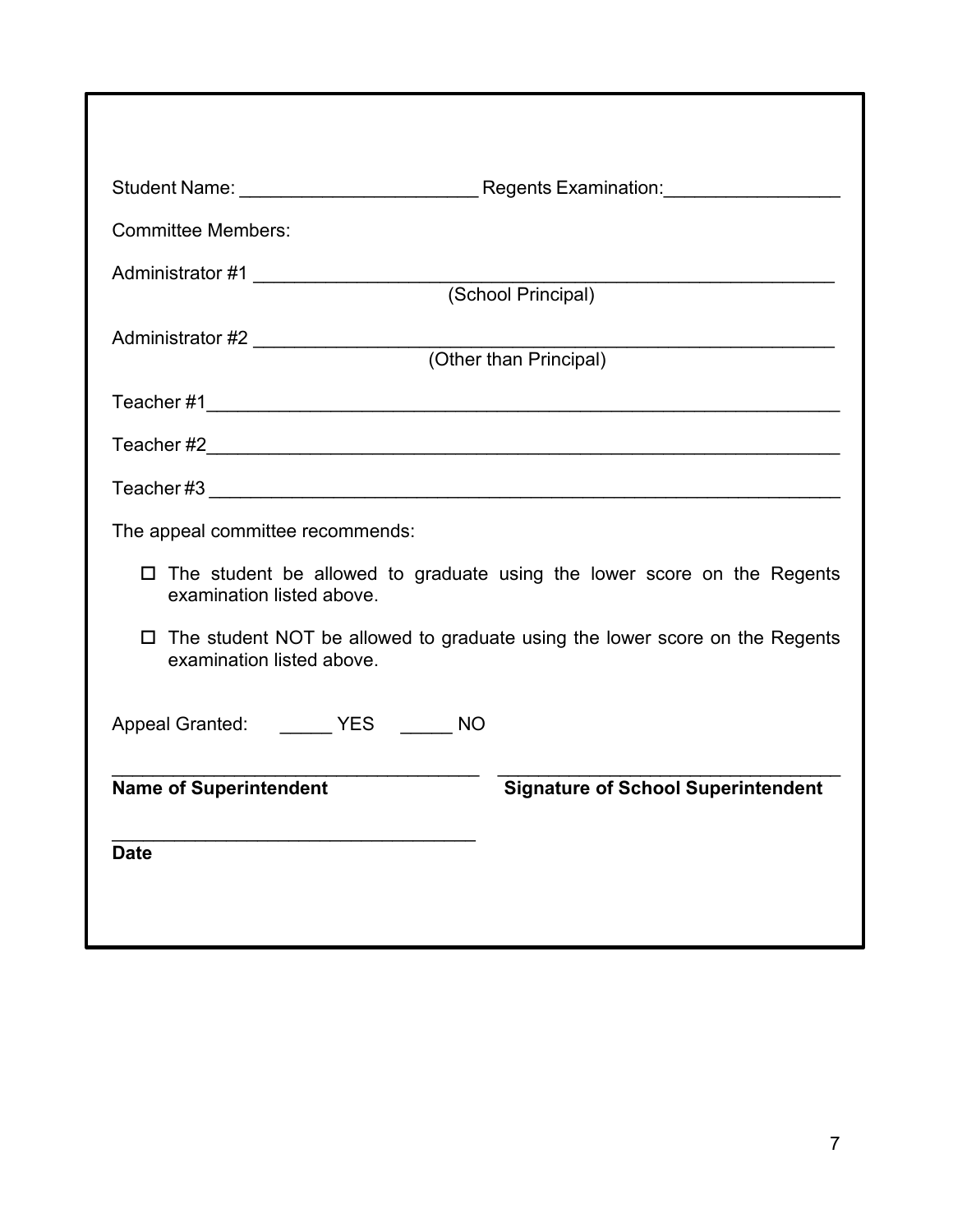| <b>Committee Members:</b>                                                                                       |  |  |  |  |  |
|-----------------------------------------------------------------------------------------------------------------|--|--|--|--|--|
| (School Principal)                                                                                              |  |  |  |  |  |
| Administrator #2 _____________________<br>(Other than Principal)                                                |  |  |  |  |  |
|                                                                                                                 |  |  |  |  |  |
|                                                                                                                 |  |  |  |  |  |
|                                                                                                                 |  |  |  |  |  |
| The appeal committee recommends:                                                                                |  |  |  |  |  |
| $\Box$ The student be allowed to graduate using the lower score on the Regents<br>examination listed above.     |  |  |  |  |  |
| $\Box$ The student NOT be allowed to graduate using the lower score on the Regents<br>examination listed above. |  |  |  |  |  |
| Appeal Granted: ______ YES _____ NO                                                                             |  |  |  |  |  |
| <b>Signature of School Superintendent</b><br><b>Name of Superintendent</b>                                      |  |  |  |  |  |
| <b>Date</b>                                                                                                     |  |  |  |  |  |
|                                                                                                                 |  |  |  |  |  |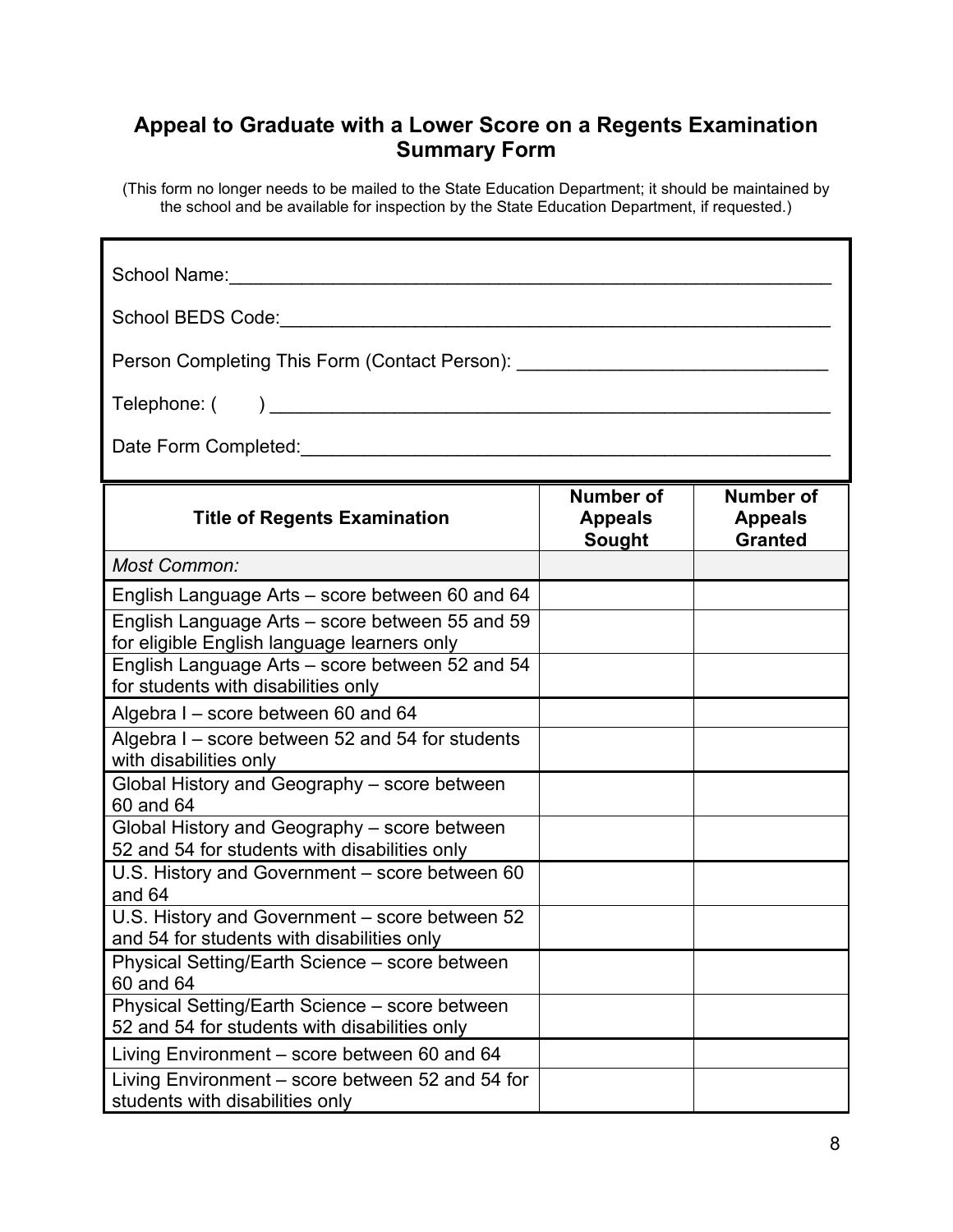# **Appeal to Graduate with a Lower Score on a Regents Examination Summary Form**

(This form no longer needs to be mailed to the State Education Department; it should be maintained by the school and be available for inspection by the State Education Department, if requested.)

Г

| School Name:                                                                                                                                                                                                                           |                                       |                                                      |  |  |  |
|----------------------------------------------------------------------------------------------------------------------------------------------------------------------------------------------------------------------------------------|---------------------------------------|------------------------------------------------------|--|--|--|
| School BEDS Code: ___ _______________________________                                                                                                                                                                                  |                                       |                                                      |  |  |  |
| Person Completing This Form (Contact Person): __________________________________                                                                                                                                                       |                                       |                                                      |  |  |  |
|                                                                                                                                                                                                                                        |                                       |                                                      |  |  |  |
| Date Form Completed:<br><u> Letter Scholars and Scholars and Scholars and Scholars and Scholars and Scholars and Scholars and Scholars and Scholars and Scholars and Scholars and Scholars and Scholars and Scholars and Scholars </u> |                                       |                                                      |  |  |  |
| <b>Title of Regents Examination</b>                                                                                                                                                                                                    | Number of<br><b>Appeals</b><br>Sought | <b>Number of</b><br><b>Appeals</b><br><b>Granted</b> |  |  |  |
| Most Common:                                                                                                                                                                                                                           |                                       |                                                      |  |  |  |
| English Language Arts – score between 60 and 64                                                                                                                                                                                        |                                       |                                                      |  |  |  |
| English Language Arts - score between 55 and 59<br>for eligible English language learners only                                                                                                                                         |                                       |                                                      |  |  |  |
| English Language Arts - score between 52 and 54<br>for students with disabilities only                                                                                                                                                 |                                       |                                                      |  |  |  |
| Algebra I - score between 60 and 64                                                                                                                                                                                                    |                                       |                                                      |  |  |  |
| Algebra I - score between 52 and 54 for students<br>with disabilities only                                                                                                                                                             |                                       |                                                      |  |  |  |
| Global History and Geography - score between<br>60 and 64                                                                                                                                                                              |                                       |                                                      |  |  |  |
| Global History and Geography - score between<br>52 and 54 for students with disabilities only                                                                                                                                          |                                       |                                                      |  |  |  |
| U.S. History and Government - score between 60<br>and 64                                                                                                                                                                               |                                       |                                                      |  |  |  |
| U.S. History and Government - score between 52<br>and 54 for students with disabilities only                                                                                                                                           |                                       |                                                      |  |  |  |
| Physical Setting/Earth Science - score between<br>60 and 64                                                                                                                                                                            |                                       |                                                      |  |  |  |
| Physical Setting/Earth Science - score between<br>52 and 54 for students with disabilities only                                                                                                                                        |                                       |                                                      |  |  |  |
| Living Environment - score between 60 and 64                                                                                                                                                                                           |                                       |                                                      |  |  |  |
| Living Environment – score between 52 and 54 for<br>students with disabilities only                                                                                                                                                    |                                       |                                                      |  |  |  |

1